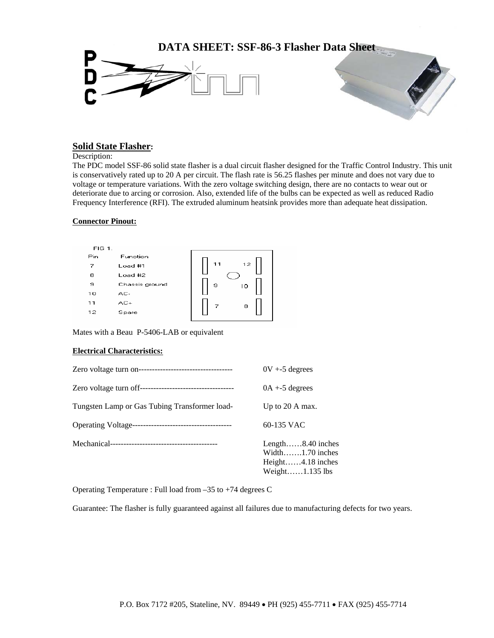

## **Solid State Flasher:**

Description:

The PDC model SSF-86 solid state flasher is a dual circuit flasher designed for the Traffic Control Industry. This unit is conservatively rated up to 20 A per circuit. The flash rate is 56.25 flashes per minute and does not vary due to voltage or temperature variations. With the zero voltage switching design, there are no contacts to wear out or deteriorate due to arcing or corrosion. Also, extended life of the bulbs can be expected as well as reduced Radio Frequency Interference (RFI). The extruded aluminum heatsink provides more than adequate heat dissipation.

## **Connector Pinout:**



Mates with a Beau P-5406-LAB or equivalent

## **Electrical Characteristics:**

|                                               | $0V + 5$ degrees                                                                                            |
|-----------------------------------------------|-------------------------------------------------------------------------------------------------------------|
|                                               | $0A + 5$ degrees                                                                                            |
| Tungsten Lamp or Gas Tubing Transformer load- | Up to 20 A max.                                                                                             |
|                                               | 60-135 VAC                                                                                                  |
|                                               | Length $\dots$ 8.40 inches<br>Width $\dots$ 1.70 inches<br>Height $4.18$ inches<br>Weight $\dots$ 1.135 lbs |

Operating Temperature : Full load from –35 to +74 degrees C

Guarantee: The flasher is fully guaranteed against all failures due to manufacturing defects for two years.